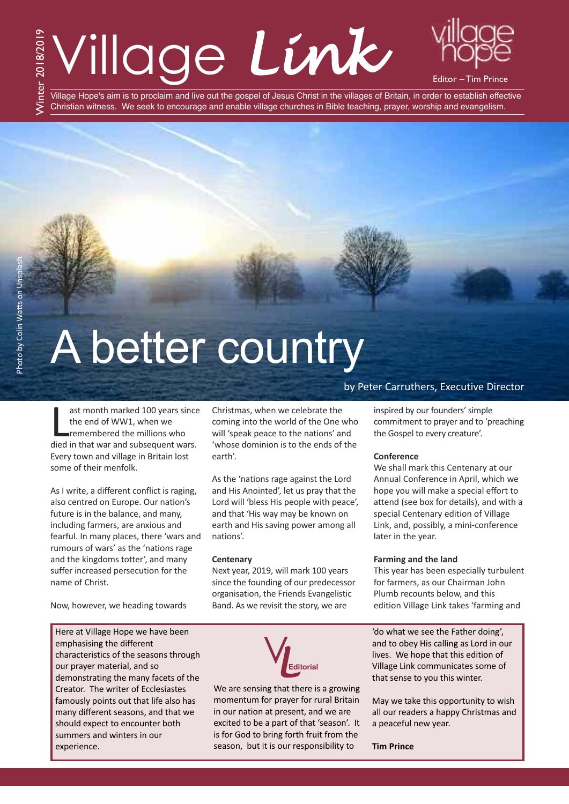# Village *Link*



Tim Prince

Village Hope's aim is to proclaim and live out the gospel of Jesus Christ in the villages of Britain, in order to establish effective Christian witness. We seek to encourage and enable village churches in Bible teaching, prayer, worship and evangelism.

# A better country

ast month marked 100 years since<br>the end of WW1, when we<br>remembered the millions who<br>died in that war and subsequent wars. ast month marked 100 years since the end of WW1, when we remembered the millions who Every town and village in Britain lost some of their menfolk.

As I write, a different conflict is raging, also centred on Europe. Our nation's future is in the balance, and many, including farmers, are anxious and fearful. In many places, there 'wars and rumours of wars' as the 'nations rage and the kingdoms totter', and many suffer increased persecution for the name of Christ.

Now, however, we heading towards

Here at Village Hope we have been emphasising the different characteristics of the seasons through our prayer material, and so demonstrating the many facets of the Creator. The writer of Ecclesiastes famously points out that life also has many different seasons, and that we should expect to encounter both summers and winters in our experience.

Christmas, when we celebrate the coming into the world of the One who will 'speak peace to the nations' and 'whose dominion is to the ends of the earth'.

As the 'nations rage against the Lord and His Anointed', let us pray that the Lord will 'bless His people with peace', and that 'His way may be known on earth and His saving power among all nations'.

#### **Centenary**

Next year, 2019, will mark 100 years since the founding of our predecessor organisation, the Friends Evangelistic Band. As we revisit the story, we are



We are sensing that there is a growing momentum for prayer for rural Britain in our nation at present, and we are excited to be a part of that 'season'. It is for God to bring forth fruit from the season, but it is our responsibility to

#### by Peter Carruthers, Executive Director

inspired by our founders' simple commitment to prayer and to 'preaching the Gospel to every creature'.

#### **Conference**

We shall mark this Centenary at our Annual Conference in April, which we hope you will make a special effort to attend (see box for details), and with a special Centenary edition of Village Link, and, possibly, a mini-conference later in the year.

#### **Farming and the land**

This year has been especially turbulent for farmers, as our Chairman John Plumb recounts below, and this edition Village Link takes 'farming and

'do what we see the Father doing', and to obey His calling as Lord in our lives. We hope that this edition of Village Link communicates some of that sense to you this winter.

May we take this opportunity to wish all our readers a happy Christmas and a peaceful new year.

**Tim Prince**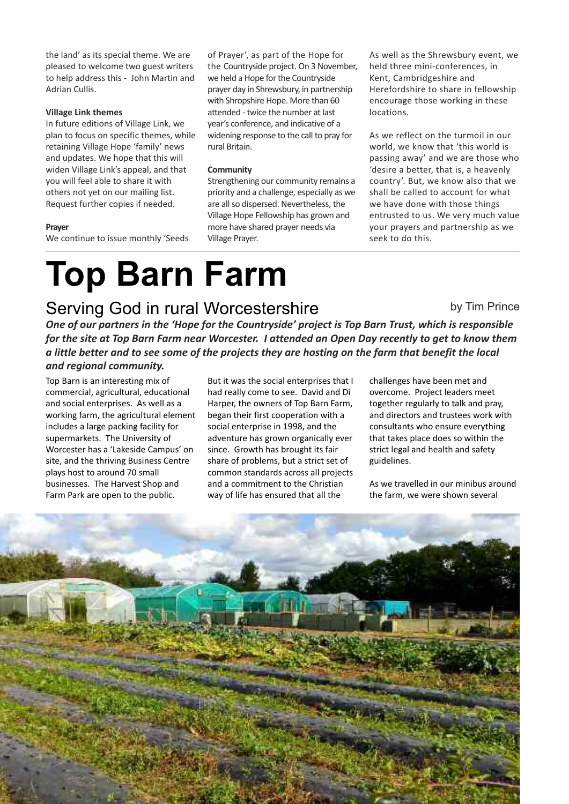the land' as its special theme. We are pleased to welcome two guest writers to help address this - John Martin and Adrian Cullis.

#### **Village Link themes**

In future editions of Village Link, we plan to focus on specific themes, while retaining Village Hope 'family' news and updates. We hope that this will widen Village Link's appeal, and that you will feel able to share it with others not yet on our mailing list. Request further copies if needed.

#### **Prayer**

We continue to issue monthly 'Seeds

of Prayer', as part of the Hope for the Countryside project. On 3 November, we held a Hope for the Countryside prayer day in Shrewsbury, in partnership with Shropshire Hope. More than 60 attended - twice the number at last year's conference, and indicative of a widening response to the call to pray for rural Britain.

#### **Community**

Strengthening our community remains a priority and a challenge, especially as we are all so dispersed. Nevertheless, the Village Hope Fellowship has grown and more have shared prayer needs via Village Prayer.

As well as the Shrewsbury event, we held three mini-conferences, in Kent, Cambridgeshire and Herefordshire to share in fellowship encourage those working in these locations.

As we reflect on the turmoil in our world, we know that 'this world is passing away' and we are those who 'desire a better, that is, a heavenly country'. But, we know also that we shall be called to account for what we have done with those things entrusted to us. We very much value your prayers and partnership as we seek to do this.

## **Top Barn Farm**

### Serving God in rural Worcestershire

One of our partners in the 'Hope for the Countryside' project is Top Barn Trust, which is responsible for the site at Top Barn Farm near Worcester. I attended an Open Day recently to get to know them a little better and to see some of the projects they are hosting on the farm that benefit the local

#### *and regional community.*

Top Barn is an interesting mix of commercial, agricultural, educational and social enterprises. As well as a working farm, the agricultural element includes a large packing facility for supermarkets. The University of Worcester has a 'Lakeside Campus' on site, and the thriving Business Centre plays host to around 70 small businesses. The Harvest Shop and Farm Park are open to the public.

But it was the social enterprises that I had really come to see. David and Di Harper, the owners of Top Barn Farm, began their first cooperation with a social enterprise in 1998, and the adventure has grown organically ever since. Growth has brought its fair share of problems, but a strict set of common standards across all projects and a commitment to the Christian way of life has ensured that all the

by Tim Prince

challenges have been met and overcome. Project leaders meet together regularly to talk and pray, and directors and trustees work with consultants who ensure everything that takes place does so within the strict legal and health and safety guidelines.

As we travelled in our minibus around the farm, we were shown several

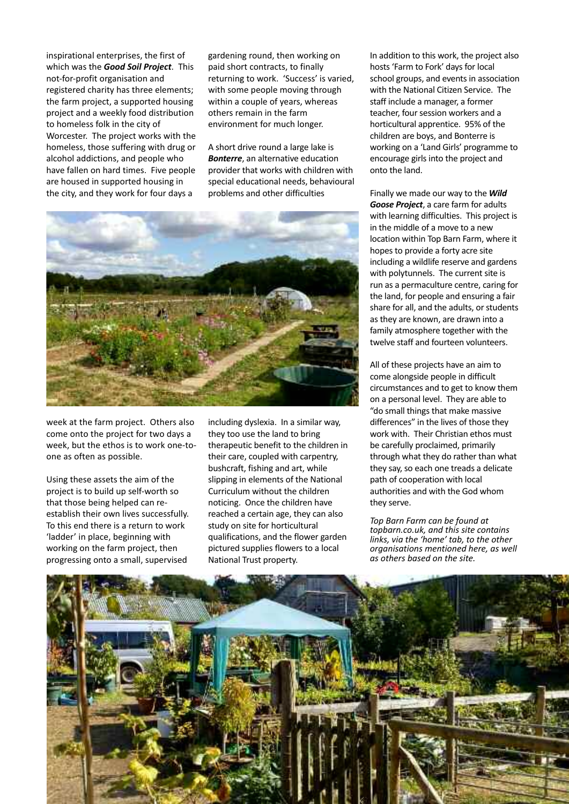inspirational enterprises, the first of which was the *Good Soil Project*. This not-for-profit organisation and registered charity has three elements; the farm project, a supported housing project and a weekly food distribution to homeless folk in the city of Worcester. The project works with the homeless, those suffering with drug or alcohol addictions, and people who have fallen on hard times. Five people are housed in supported housing in the city, and they work for four days a

gardening round, then working on paid short contracts, to finally returning to work. 'Success' is varied, with some people moving through within a couple of years, whereas others remain in the farm environment for much longer.

A short drive round a large lake is *Bonterre*, an alternative education provider that works with children with special educational needs, behavioural problems and other difficulties



week at the farm project. Others also come onto the project for two days a week, but the ethos is to work one-toone as often as possible.

Using these assets the aim of the project is to build up self-worth so that those being helped can reestablish their own lives successfully. To this end there is a return to work 'ladder' in place, beginning with working on the farm project, then progressing onto a small, supervised

including dyslexia. In a similar way, they too use the land to bring therapeutic benefit to the children in their care, coupled with carpentry, bushcraft, fishing and art, while slipping in elements of the National Curriculum without the children noticing. Once the children have reached a certain age, they can also study on site for horticultural qualifications, and the flower garden pictured supplies flowers to a local National Trust property.

In addition to this work, the project also hosts 'Farm to Fork' days for local school groups, and events in association with the National Citizen Service. The staff include a manager, a former teacher, four session workers and a horticultural apprentice. 95% of the children are boys, and Bonterre is working on a 'Land Girls' programme to encourage girls into the project and onto the land.

Finally we made our way to the *Wild Goose Project*, a care farm for adults with learning difficulties. This project is in the middle of a move to a new location within Top Barn Farm, where it hopes to provide a forty acre site including a wildlife reserve and gardens with polytunnels. The current site is run as a permaculture centre, caring for the land, for people and ensuring a fair share for all, and the adults, or students as they are known, are drawn into a family atmosphere together with the twelve staff and fourteen volunteers.

All of these projects have an aim to come alongside people in difficult circumstances and to get to know them on a personal level. They are able to "do small things that make massive differences" in the lives of those they work with. Their Christian ethos must be carefully proclaimed, primarily through what they do rather than what they say, so each one treads a delicate path of cooperation with local authorities and with the God whom they serve.

*Top Barn Farm can be found at topbarn.co.uk, and this site contains links, via the 'home' tab, to the other organisations mentioned here, as well as others based on the site.*

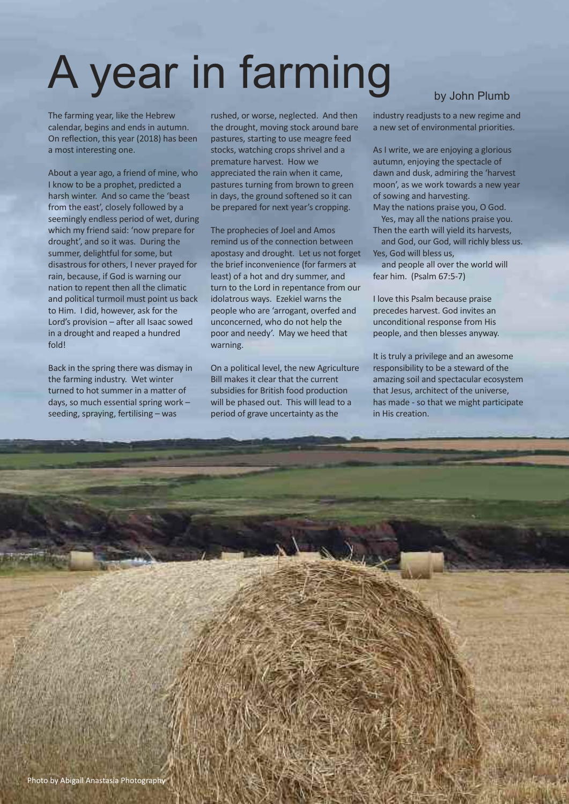# A year in farming

The farming year, like the Hebrew calendar, begins and ends in autumn. On reflection, this year (2018) has been a most interesting one.

About a year ago, a friend of mine, who I know to be a prophet, predicted a harsh winter. And so came the 'beast from the east', closely followed by a seemingly endless period of wet, during which my friend said: 'now prepare for drought', and so it was. During the summer, delightful for some, but disastrous for others, I never prayed for rain, because, if God is warning our nation to repent then all the climatic and political turmoil must point us back to Him. I did, however, ask for the Lord's provision – after all Isaac sowed in a drought and reaped a hundred fold!

Back in the spring there was dismay in the farming industry. Wet winter turned to hot summer in a matter of days, so much essential spring work – seeding, spraying, fertilising – was

rushed, or worse, neglected. And then the drought, moving stock around bare pastures, starting to use meagre feed stocks, watching crops shrivel and a premature harvest. How we appreciated the rain when it came, pastures turning from brown to green in days, the ground softened so it can be prepared for next year's cropping.

The prophecies of Joel and Amos remind us of the connection between apostasy and drought. Let us not forget the brief inconvenience (for farmers at least) of a hot and dry summer, and turn to the Lord in repentance from our idolatrous ways. Ezekiel warns the people who are 'arrogant, overfed and unconcerned, who do not help the poor and needy'. May we heed that warning.

On a political level, the new Agriculture Bill makes it clear that the current subsidies for British food production will be phased out. This will lead to a period of grave uncertainty as the

industry readjusts to a new regime and a new set of environmental priorities.

As I write, we are enjoying a glorious autumn, enjoying the spectacle of dawn and dusk, admiring the 'harvest moon', as we work towards a new year of sowing and harvesting.

May the nations praise you, O God. Yes, may all the nations praise you.

Then the earth will yield its harvests, and God, our God, will richly bless us. Yes, God will bless us,

and people all over the world will fear him. (Psalm 67:5-7)

I love this Psalm because praise precedes harvest. God invites an unconditional response from His people, and then blesses anyway.

It is truly a privilege and an awesome responsibility to be a steward of the amazing soil and spectacular ecosystem that Jesus, architect of the universe, has made - so that we might participate in His creation.

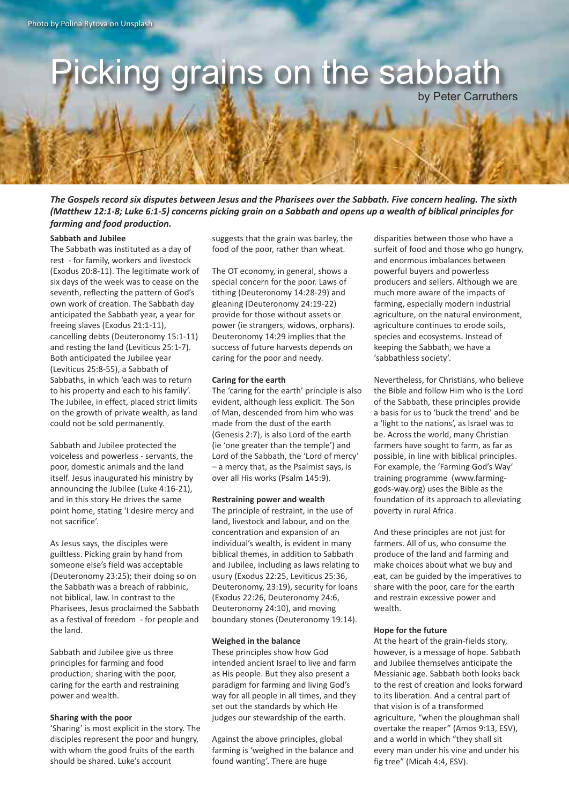## Picking grains on the sabbath

by Peter Carruthers

The Gospels record six disputes between Jesus and the Pharisees over the Sabbath. Five concern healing. The sixth (Matthew 12:1-8; Luke 6:1-5) concerns picking grain on a Sabbath and opens up a wealth of biblical principles for *farming and food production.*

#### **Sabbath and Jubilee**

The Sabbath was instituted as a day of rest - for family, workers and livestock (Exodus 20:8-11). The legitimate work of six days of the week was to cease on the seventh, reflecting the pattern of God's own work of creation. The Sabbath day anticipated the Sabbath year, a year for freeing slaves (Exodus 21:1-11), cancelling debts (Deuteronomy 15:1-11) and resting the land (Leviticus 25:1-7). Both anticipated the Jubilee year (Leviticus 25:8-55), a Sabbath of Sabbaths, in which 'each was to return to his property and each to his family'. The Jubilee, in effect, placed strict limits on the growth of private wealth, as land could not be sold permanently.

Sabbath and Jubilee protected the voiceless and powerless - servants, the poor, domestic animals and the land itself. Jesus inaugurated his ministry by announcing the Jubilee (Luke 4:16-21), and in this story He drives the same point home, stating 'I desire mercy and not sacrifice'.

As Jesus says, the disciples were guiltless. Picking grain by hand from someone else's field was acceptable (Deuteronomy 23:25); their doing so on the Sabbath was a breach of rabbinic, not biblical, law. In contrast to the Pharisees, Jesus proclaimed the Sabbath as a festival of freedom - for people and the land.

Sabbath and Jubilee give us three principles for farming and food production; sharing with the poor, caring for the earth and restraining power and wealth.

#### **Sharing with the poor**

'Sharing' is most explicit in the story. The disciples represent the poor and hungry, with whom the good fruits of the earth should be shared. Luke's account

suggests that the grain was barley, the food of the poor, rather than wheat.

The OT economy, in general, shows a special concern for the poor. Laws of tithing (Deuteronomy 14:28-29) and gleaning (Deuteronomy 24:19-22) provide for those without assets or power (ie strangers, widows, orphans). Deuteronomy 14:29 implies that the success of future harvests depends on caring for the poor and needy.

#### **Caring for the earth**

The 'caring for the earth' principle is also evident, although less explicit. The Son of Man, descended from him who was made from the dust of the earth (Genesis 2:7), is also Lord of the earth (ie 'one greater than the temple') and Lord of the Sabbath, the 'Lord of mercy' – a mercy that, as the Psalmist says, is over all His works (Psalm 145:9).

#### **Restraining power and wealth**

The principle of restraint, in the use of land, livestock and labour, and on the concentration and expansion of an individual's wealth, is evident in many biblical themes, in addition to Sabbath and Jubilee, including as laws relating to usury (Exodus 22:25, Leviticus 25:36, Deuteronomy, 23:19), security for loans (Exodus 22:26, Deuteronomy 24:6, Deuteronomy 24:10), and moving boundary stones (Deuteronomy 19:14).

#### **Weighed in the balance**

These principles show how God intended ancient Israel to live and farm as His people. But they also present a paradigm for farming and living God's way for all people in all times, and they set out the standards by which He judges our stewardship of the earth.

Against the above principles, global farming is 'weighed in the balance and found wanting'. There are huge

disparities between those who have a surfeit of food and those who go hungry, and enormous imbalances between powerful buyers and powerless producers and sellers. Although we are much more aware of the impacts of farming, especially modern industrial agriculture, on the natural environment, agriculture continues to erode soils, species and ecosystems. Instead of keeping the Sabbath, we have a 'sabbathless society'.

Nevertheless, for Christians, who believe the Bible and follow Him who is the Lord of the Sabbath, these principles provide a basis for us to 'buck the trend' and be a 'light to the nations', as Israel was to be. Across the world, many Christian farmers have sought to farm, as far as possible, in line with biblical principles. For example, the 'Farming God's Way' training programme (www.farminggods-way.org) uses the Bible as the foundation of its approach to alleviating poverty in rural Africa.

And these principles are not just for farmers. All of us, who consume the produce of the land and farming and make choices about what we buy and eat, can be guided by the imperatives to share with the poor, care for the earth and restrain excessive power and wealth.

#### **Hope for the future**

At the heart of the grain-fields story, however, is a message of hope. Sabbath and Jubilee themselves anticipate the Messianic age. Sabbath both looks back to the rest of creation and looks forward to its liberation. And a central part of that vision is of a transformed agriculture, "when the ploughman shall overtake the reaper" (Amos 9:13, ESV), and a world in which "they shall sit every man under his vine and under his fig tree" (Micah 4:4, ESV).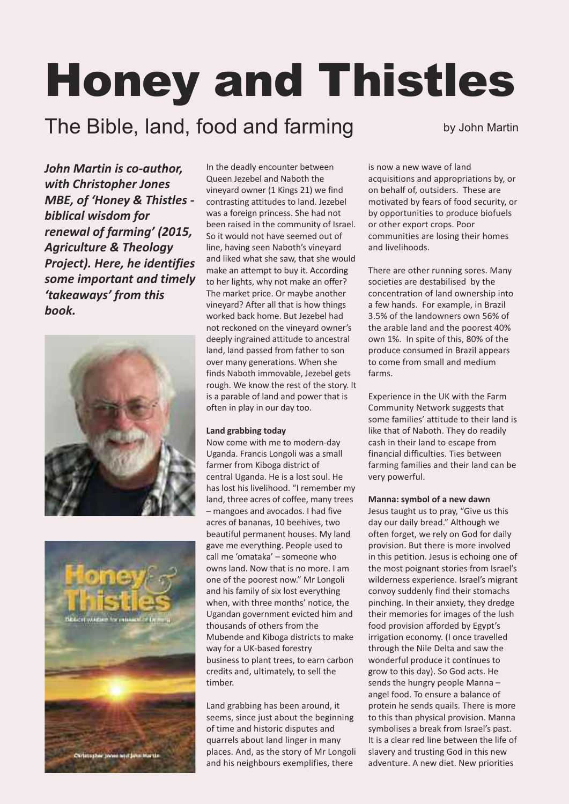# Honey and Thistles

### The Bible, land, food and farming by John Martin

*John Martin is co-author, with Christopher Jones MBE, of 'Honey & Thistles biblical wisdom for renewal of farming' (2015, Agriculture & Theology Project). Here, he identifies some important and timely 'takeaways' from this book.*





In the deadly encounter between Queen Jezebel and Naboth the vineyard owner (1 Kings 21) we find contrasting attitudes to land. Jezebel was a foreign princess. She had not been raised in the community of Israel. So it would not have seemed out of line, having seen Naboth's vineyard and liked what she saw, that she would make an attempt to buy it. According to her lights, why not make an offer? The market price. Or maybe another vineyard? After all that is how things worked back home. But Jezebel had not reckoned on the vineyard owner's deeply ingrained attitude to ancestral land, land passed from father to son over many generations. When she finds Naboth immovable, Jezebel gets rough. We know the rest of the story. It is a parable of land and power that is often in play in our day too.

#### **Land grabbing today**

Now come with me to modern-day Uganda. Francis Longoli was a small farmer from Kiboga district of central Uganda. He is a lost soul. He has lost his livelihood. "I remember my land, three acres of coffee, many trees – mangoes and avocados. I had five acres of bananas, 10 beehives, two beautiful permanent houses. My land gave me everything. People used to call me 'omataka' – someone who owns land. Now that is no more. I am one of the poorest now." Mr Longoli and his family of six lost everything when, with three months' notice, the Ugandan government evicted him and thousands of others from the Mubende and Kiboga districts to make way for a UK-based forestry business to plant trees, to earn carbon credits and, ultimately, to sell the timber.

Land grabbing has been around, it seems, since just about the beginning of time and historic disputes and quarrels about land linger in many places. And, as the story of Mr Longoli and his neighbours exemplifies, there

is now a new wave of land acquisitions and appropriations by, or on behalf of, outsiders. These are motivated by fears of food security, or by opportunities to produce biofuels or other export crops. Poor communities are losing their homes and livelihoods.

There are other running sores. Many societies are destabilised by the concentration of land ownership into a few hands. For example, in Brazil 3.5% of the landowners own 56% of the arable land and the poorest 40% own 1%. In spite of this, 80% of the produce consumed in Brazil appears to come from small and medium farms.

Experience in the UK with the Farm Community Network suggests that some families' attitude to their land is like that of Naboth. They do readily cash in their land to escape from financial difficulties. Ties between farming families and their land can be very powerful.

#### **Manna: symbol of a new dawn**

Jesus taught us to pray, "Give us this day our daily bread." Although we often forget, we rely on God for daily provision. But there is more involved in this petition. Jesus is echoing one of the most poignant stories from Israel's wilderness experience. Israel's migrant convoy suddenly find their stomachs pinching. In their anxiety, they dredge their memories for images of the lush food provision afforded by Egypt's irrigation economy. (I once travelled through the Nile Delta and saw the wonderful produce it continues to grow to this day). So God acts. He sends the hungry people Manna – angel food. To ensure a balance of protein he sends quails. There is more to this than physical provision. Manna symbolises a break from Israel's past. It is a clear red line between the life of slavery and trusting God in this new adventure. A new diet. New priorities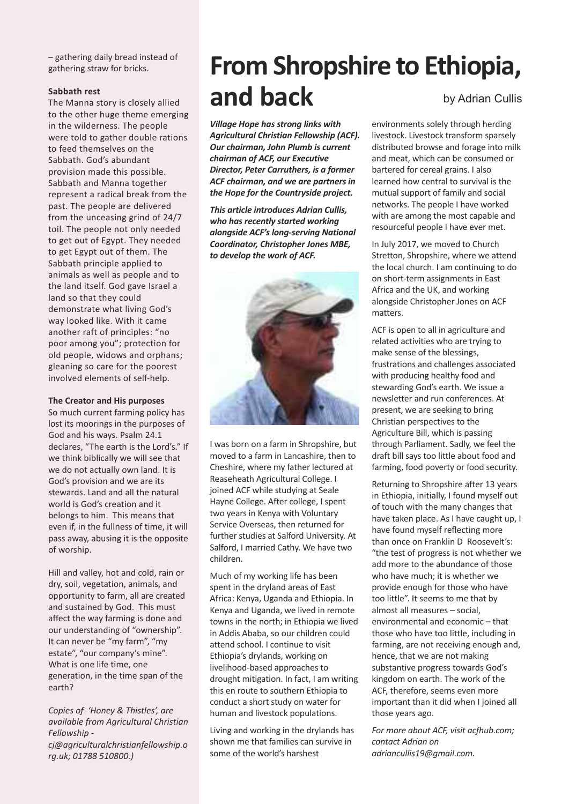– gathering daily bread instead of gathering straw for bricks.

#### **Sabbath rest**

The Manna story is closely allied to the other huge theme emerging in the wilderness. The people were told to gather double rations to feed themselves on the Sabbath. God's abundant provision made this possible. Sabbath and Manna together represent a radical break from the past. The people are delivered from the unceasing grind of 24/7 toil. The people not only needed to get out of Egypt. They needed to get Egypt out of them. The Sabbath principle applied to animals as well as people and to the land itself. God gave Israel a land so that they could demonstrate what living God's way looked like. With it came another raft of principles: "no poor among you"; protection for old people, widows and orphans; gleaning so care for the poorest involved elements of self-help.

#### **The Creator and His purposes**

So much current farming policy has lost its moorings in the purposes of God and his ways. Psalm 24.1 declares, "The earth is the Lord's." If we think biblically we will see that we do not actually own land. It is God's provision and we are its stewards. Land and all the natural world is God's creation and it belongs to him. This means that even if, in the fullness of time, it will pass away, abusing it is the opposite of worship.

Hill and valley, hot and cold, rain or dry, soil, vegetation, animals, and opportunity to farm, all are created and sustained by God. This must affect the way farming is done and our understanding of "ownership". It can never be "my farm", "my estate", "our company's mine". What is one life time, one generation, in the time span of the earth?

*Copies of 'Honey & Thistles', are available from Agricultural Christian Fellowship cj@agriculturalchristianfellowship.o rg.uk; 01788 510800.)*

### **From Shropshire to Ethiopia, and back** by Adrian Cullis

*Village Hope has strong links with Agricultural Christian Fellowship (ACF). Our chairman, John Plumb is current chairman of ACF, our Executive Director, Peter Carruthers, is a former ACF chairman, and we are partners in the Hope for the Countryside project.*

*This article introduces Adrian Cullis, who has recently started working alongside ACF's long-serving National Coordinator, Christopher Jones MBE, to develop the work of ACF.*



I was born on a farm in Shropshire, but moved to a farm in Lancashire, then to Cheshire, where my father lectured at Reaseheath Agricultural College. I joined ACF while studying at Seale Hayne College. After college, I spent two years in Kenya with Voluntary Service Overseas, then returned for further studies at Salford University. At Salford, I married Cathy. We have two children.

Much of my working life has been spent in the dryland areas of East Africa: Kenya, Uganda and Ethiopia. In Kenya and Uganda, we lived in remote towns in the north; in Ethiopia we lived in Addis Ababa, so our children could attend school. I continue to visit Ethiopia's drylands, working on livelihood-based approaches to drought mitigation. In fact, I am writing this en route to southern Ethiopia to conduct a short study on water for human and livestock populations.

Living and working in the drylands has shown me that families can survive in some of the world's harshest

environments solely through herding livestock. Livestock transform sparsely distributed browse and forage into milk and meat, which can be consumed or bartered for cereal grains. I also learned how central to survival is the mutual support of family and social networks. The people I have worked with are among the most capable and resourceful people I have ever met.

In July 2017, we moved to Church Stretton, Shropshire, where we attend the local church. I am continuing to do on short-term assignments in East Africa and the UK, and working alongside Christopher Jones on ACF matters.

ACF is open to all in agriculture and related activities who are trying to make sense of the blessings, frustrations and challenges associated with producing healthy food and stewarding God's earth. We issue a newsletter and run conferences. At present, we are seeking to bring Christian perspectives to the Agriculture Bill, which is passing through Parliament. Sadly, we feel the draft bill says too little about food and farming, food poverty or food security.

Returning to Shropshire after 13 years in Ethiopia, initially, I found myself out of touch with the many changes that have taken place. As I have caught up, I have found myself reflecting more than once on Franklin D Roosevelt's: "the test of progress is not whether we add more to the abundance of those who have much; it is whether we provide enough for those who have too little". It seems to me that by almost all measures – social, environmental and economic – that those who have too little, including in farming, are not receiving enough and, hence, that we are not making substantive progress towards God's kingdom on earth. The work of the ACF, therefore, seems even more important than it did when I joined all those years ago.

*For more about ACF, visit acfhub.com; contact Adrian on adriancullis19@gmail.com.*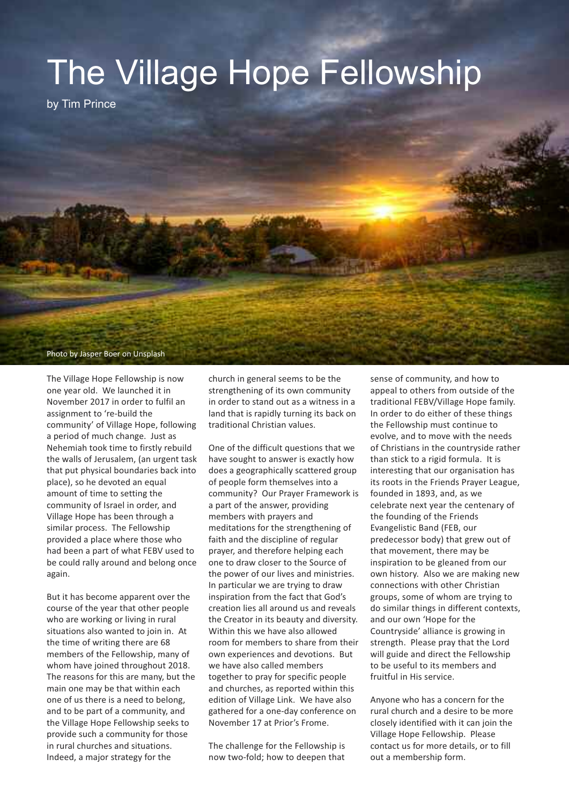

by Tim Prince

Photo by Jasper Boer on Unsplash

The Village Hope Fellowship is now one year old. We launched it in November 2017 in order to fulfil an assignment to 're-build the community' of Village Hope, following a period of much change. Just as Nehemiah took time to firstly rebuild the walls of Jerusalem, (an urgent task that put physical boundaries back into place), so he devoted an equal amount of time to setting the community of Israel in order, and Village Hope has been through a similar process. The Fellowship provided a place where those who had been a part of what FEBV used to be could rally around and belong once again.

But it has become apparent over the course of the year that other people who are working or living in rural situations also wanted to join in. At the time of writing there are 68 members of the Fellowship, many of whom have joined throughout 2018. The reasons for this are many, but the main one may be that within each one of us there is a need to belong, and to be part of a community, and the Village Hope Fellowship seeks to provide such a community for those in rural churches and situations. Indeed, a major strategy for the

church in general seems to be the strengthening of its own community in order to stand out as a witness in a land that is rapidly turning its back on traditional Christian values.

One of the difficult questions that we have sought to answer is exactly how does a geographically scattered group of people form themselves into a community? Our Prayer Framework is a part of the answer, providing members with prayers and meditations for the strengthening of faith and the discipline of regular prayer, and therefore helping each one to draw closer to the Source of the power of our lives and ministries. In particular we are trying to draw inspiration from the fact that God's creation lies all around us and reveals the Creator in its beauty and diversity. Within this we have also allowed room for members to share from their own experiences and devotions. But we have also called members together to pray for specific people and churches, as reported within this edition of Village Link. We have also gathered for a one-day conference on November 17 at Prior's Frome.

The challenge for the Fellowship is now two-fold; how to deepen that sense of community, and how to appeal to others from outside of the traditional FEBV/Village Hope family. In order to do either of these things the Fellowship must continue to evolve, and to move with the needs of Christians in the countryside rather than stick to a rigid formula. It is interesting that our organisation has its roots in the Friends Prayer League, founded in 1893, and, as we celebrate next year the centenary of the founding of the Friends Evangelistic Band (FEB, our predecessor body) that grew out of that movement, there may be inspiration to be gleaned from our own history. Also we are making new connections with other Christian groups, some of whom are trying to do similar things in different contexts, and our own 'Hope for the Countryside' alliance is growing in strength. Please pray that the Lord will guide and direct the Fellowship to be useful to its members and fruitful in His service.

Anyone who has a concern for the rural church and a desire to be more closely identified with it can join the Village Hope Fellowship. Please contact us for more details, or to fill out a membership form.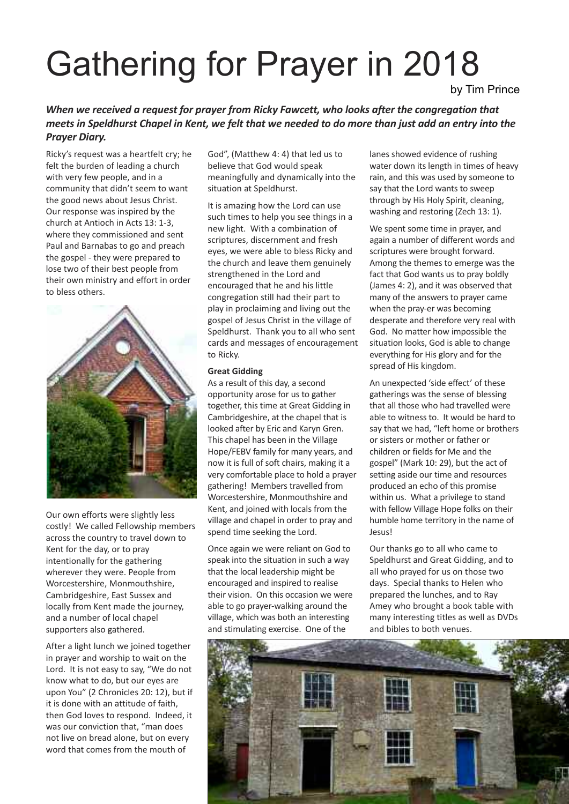## Gathering for Prayer in 2018

by Tim Prince

#### *When we received a request for prayer from Ricky Fawcett, who looks after the congregation that* meets in Speldhurst Chapel in Kent, we felt that we needed to do more than just add an entry into the *Prayer Diary.*

Ricky's request was a heartfelt cry; he felt the burden of leading a church with very few people, and in a community that didn't seem to want the good news about Jesus Christ. Our response was inspired by the church at Antioch in Acts 13: 1-3, where they commissioned and sent Paul and Barnabas to go and preach the gospel - they were prepared to lose two of their best people from their own ministry and effort in order to bless others.



Our own efforts were slightly less costly! We called Fellowship members across the country to travel down to Kent for the day, or to pray intentionally for the gathering wherever they were. People from Worcestershire, Monmouthshire, Cambridgeshire, East Sussex and locally from Kent made the journey, and a number of local chapel supporters also gathered.

After a light lunch we joined together in prayer and worship to wait on the Lord. It is not easy to say, "We do not know what to do, but our eyes are upon You" (2 Chronicles 20: 12), but if it is done with an attitude of faith, then God loves to respond. Indeed, it was our conviction that, "man does not live on bread alone, but on every word that comes from the mouth of

God", (Matthew 4: 4) that led us to believe that God would speak meaningfully and dynamically into the situation at Speldhurst.

It is amazing how the Lord can use such times to help you see things in a new light. With a combination of scriptures, discernment and fresh eyes, we were able to bless Ricky and the church and leave them genuinely strengthened in the Lord and encouraged that he and his little congregation still had their part to play in proclaiming and living out the gospel of Jesus Christ in the village of Speldhurst. Thank you to all who sent cards and messages of encouragement to Ricky.

#### **Great Gidding**

As a result of this day, a second opportunity arose for us to gather together, this time at Great Gidding in Cambridgeshire, at the chapel that is looked after by Eric and Karyn Gren. This chapel has been in the Village Hope/FEBV family for many years, and now it is full of soft chairs, making it a very comfortable place to hold a prayer gathering! Members travelled from Worcestershire, Monmouthshire and Kent, and joined with locals from the village and chapel in order to pray and spend time seeking the Lord.

Once again we were reliant on God to speak into the situation in such a way that the local leadership might be encouraged and inspired to realise their vision. On this occasion we were able to go prayer-walking around the village, which was both an interesting and stimulating exercise. One of the

lanes showed evidence of rushing water down its length in times of heavy rain, and this was used by someone to say that the Lord wants to sweep through by His Holy Spirit, cleaning, washing and restoring (Zech 13: 1).

We spent some time in prayer, and again a number of different words and scriptures were brought forward. Among the themes to emerge was the fact that God wants us to pray boldly (James 4: 2), and it was observed that many of the answers to prayer came when the pray-er was becoming desperate and therefore very real with God. No matter how impossible the situation looks, God is able to change everything for His glory and for the spread of His kingdom.

An unexpected 'side effect' of these gatherings was the sense of blessing that all those who had travelled were able to witness to. It would be hard to say that we had, "left home or brothers or sisters or mother or father or children or fields for Me and the gospel" (Mark 10: 29), but the act of setting aside our time and resources produced an echo of this promise within us. What a privilege to stand with fellow Village Hope folks on their humble home territory in the name of Jesus!

Our thanks go to all who came to Speldhurst and Great Gidding, and to all who prayed for us on those two days. Special thanks to Helen who prepared the lunches, and to Ray Amey who brought a book table with many interesting titles as well as DVDs and bibles to both venues.

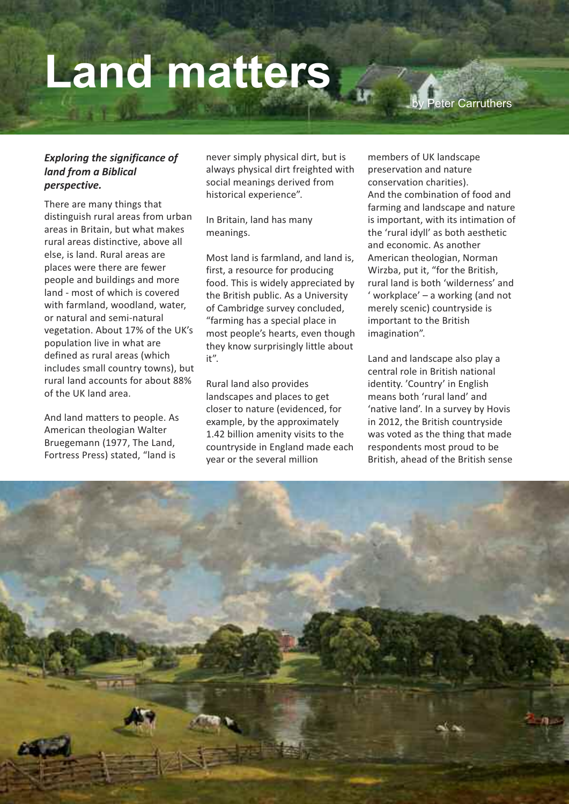## **Land matters**

**Peter Carruthers** 

#### *Exploring the significance of land from a Biblical perspective.*

There are many things that distinguish rural areas from urban areas in Britain, but what makes rural areas distinctive, above all else, is land. Rural areas are places were there are fewer people and buildings and more land - most of which is covered with farmland, woodland, water, or natural and semi-natural vegetation. About 17% of the UK's population live in what are defined as rural areas (which includes small country towns), but rural land accounts for about 88% of the UK land area.

And land matters to people. As American theologian Walter Bruegemann (1977, The Land, Fortress Press) stated, "land is

never simply physical dirt, but is always physical dirt freighted with social meanings derived from historical experience".

In Britain, land has many meanings.

Most land is farmland, and land is, first, a resource for producing food. This is widely appreciated by the British public. As a University of Cambridge survey concluded, "farming has a special place in most people's hearts, even though they know surprisingly little about it".

Rural land also provides landscapes and places to get closer to nature (evidenced, for example, by the approximately 1.42 billion amenity visits to the countryside in England made each year or the several million

members of UK landscape preservation and nature conservation charities). And the combination of food and farming and landscape and nature is important, with its intimation of the 'rural idyll' as both aesthetic and economic. As another American theologian, Norman Wirzba, put it, "for the British, rural land is both 'wilderness' and ' workplace' – a working (and not merely scenic) countryside is important to the British imagination".

Land and landscape also play a central role in British national identity. 'Country' in English means both 'rural land' and 'native land'. In a survey by Hovis in 2012, the British countryside was voted as the thing that made respondents most proud to be British, ahead of the British sense

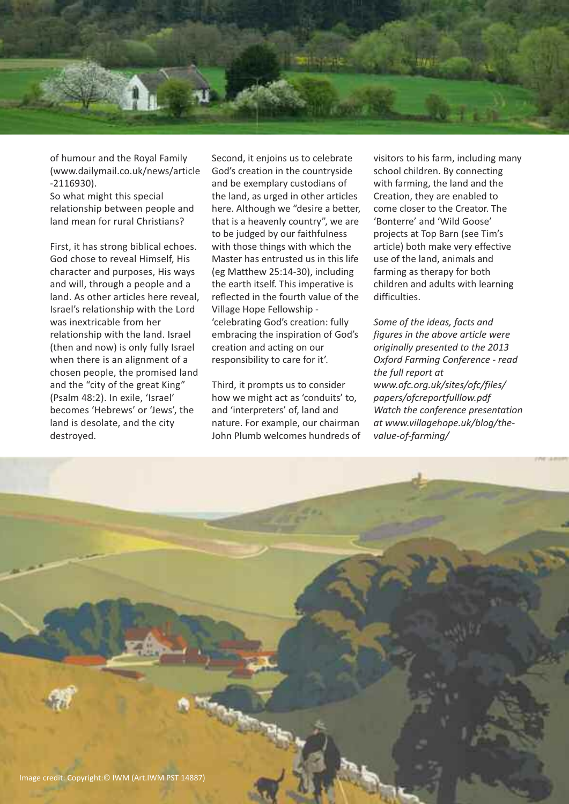

of humour and the Royal Family (www.dailymail.co.uk/news/article -2116930).

So what might this special relationship between people and land mean for rural Christians?

First, it has strong biblical echoes. God chose to reveal Himself, His character and purposes, His ways and will, through a people and a land. As other articles here reveal, Israel's relationship with the Lord was inextricable from her relationship with the land. Israel (then and now) is only fully Israel when there is an alignment of a chosen people, the promised land and the "city of the great King" (Psalm 48:2). In exile, 'Israel' becomes 'Hebrews' or 'Jews', the land is desolate, and the city destroyed.

Second, it enjoins us to celebrate God's creation in the countryside and be exemplary custodians of the land, as urged in other articles here. Although we "desire a better, that is a heavenly country", we are to be judged by our faithfulness with those things with which the Master has entrusted us in this life (eg Matthew 25:14-30), including the earth itself. This imperative is reflected in the fourth value of the Village Hope Fellowship - 'celebrating God's creation: fully embracing the inspiration of God's creation and acting on our responsibility to care for it'.

Third, it prompts us to consider how we might act as 'conduits' to, and 'interpreters' of, land and nature. For example, our chairman John Plumb welcomes hundreds of visitors to his farm, including many school children. By connecting with farming, the land and the Creation, they are enabled to come closer to the Creator. The 'Bonterre' and 'Wild Goose' projects at Top Barn (see Tim's article) both make very effective use of the land, animals and farming as therapy for both children and adults with learning difficulties.

*Some of the ideas, facts and figures in the above article were originally presented to the 2013 Oxford Farming Conference - read the full report at www.ofc.org.uk/sites/ofc/files/ papers/ofcreportfulllow.pdf Watch the conference presentation at www.villagehope.uk/blog/thevalue-of-farming/*